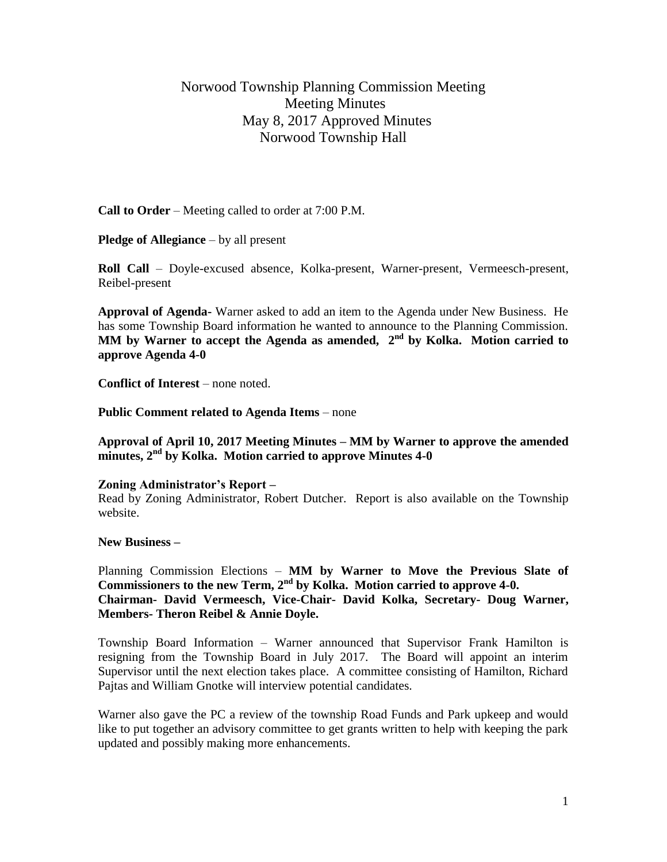## Norwood Township Planning Commission Meeting Meeting Minutes May 8, 2017 Approved Minutes Norwood Township Hall

**Call to Order** – Meeting called to order at 7:00 P.M.

**Pledge of Allegiance** – by all present

**Roll Call** – Doyle-excused absence, Kolka-present, Warner-present, Vermeesch-present, Reibel-present

**Approval of Agenda-** Warner asked to add an item to the Agenda under New Business. He has some Township Board information he wanted to announce to the Planning Commission. MM by Warner to accept the Agenda as amended, 2<sup>nd</sup> by Kolka. Motion carried to **approve Agenda 4-0**

**Conflict of Interest** – none noted.

**Public Comment related to Agenda Items** – none

**Approval of April 10, 2017 Meeting Minutes – MM by Warner to approve the amended minutes, 2nd by Kolka. Motion carried to approve Minutes 4-0**

## **Zoning Administrator's Report –**

Read by Zoning Administrator, Robert Dutcher. Report is also available on the Township website.

**New Business –**

Planning Commission Elections – **MM by Warner to Move the Previous Slate of Commissioners to the new Term, 2nd by Kolka. Motion carried to approve 4-0. Chairman- David Vermeesch, Vice-Chair- David Kolka, Secretary- Doug Warner, Members- Theron Reibel & Annie Doyle.**

Township Board Information – Warner announced that Supervisor Frank Hamilton is resigning from the Township Board in July 2017. The Board will appoint an interim Supervisor until the next election takes place. A committee consisting of Hamilton, Richard Pajtas and William Gnotke will interview potential candidates.

Warner also gave the PC a review of the township Road Funds and Park upkeep and would like to put together an advisory committee to get grants written to help with keeping the park updated and possibly making more enhancements.